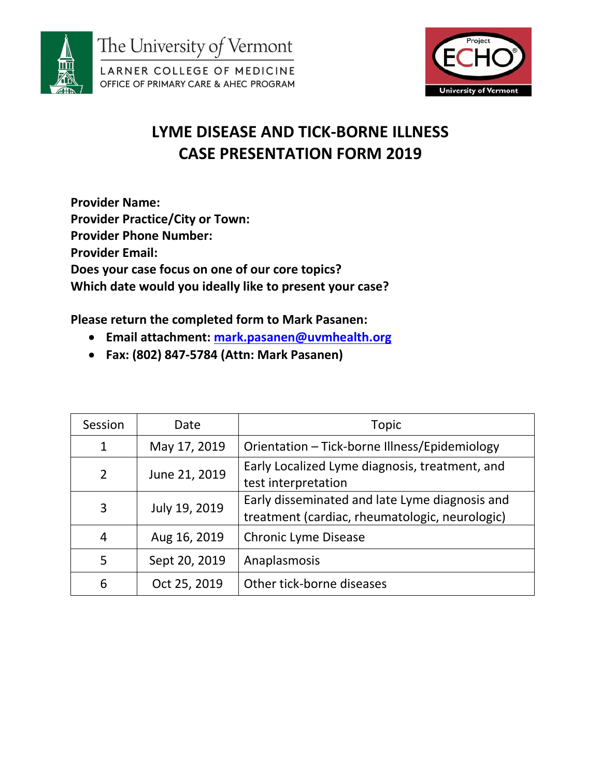



# **LYME DISEASE AND TICK-BORNE ILLNESS CASE PRESENTATION FORM 2019**

**Provider Name: Provider Practice/City or Town: Provider Phone Number: Provider Email: Does your case focus on one of our core topics? Which date would you ideally like to present your case?** 

**Please return the completed form to Mark Pasanen:**

- **Email attachment: [mark.pasanen@uvmhealth.org](mailto:mark.pasanen@uvmhealth.org)**
- **Fax: (802) 847-5784 (Attn: Mark Pasanen)**

| Session        | Date          | Topic                                                                                            |
|----------------|---------------|--------------------------------------------------------------------------------------------------|
| $\mathbf{1}$   | May 17, 2019  | Orientation - Tick-borne Illness/Epidemiology                                                    |
| $\overline{2}$ | June 21, 2019 | Early Localized Lyme diagnosis, treatment, and<br>test interpretation                            |
| 3              | July 19, 2019 | Early disseminated and late Lyme diagnosis and<br>treatment (cardiac, rheumatologic, neurologic) |
| 4              | Aug 16, 2019  | <b>Chronic Lyme Disease</b>                                                                      |
| 5              | Sept 20, 2019 | Anaplasmosis                                                                                     |
| 6              | Oct 25, 2019  | Other tick-borne diseases                                                                        |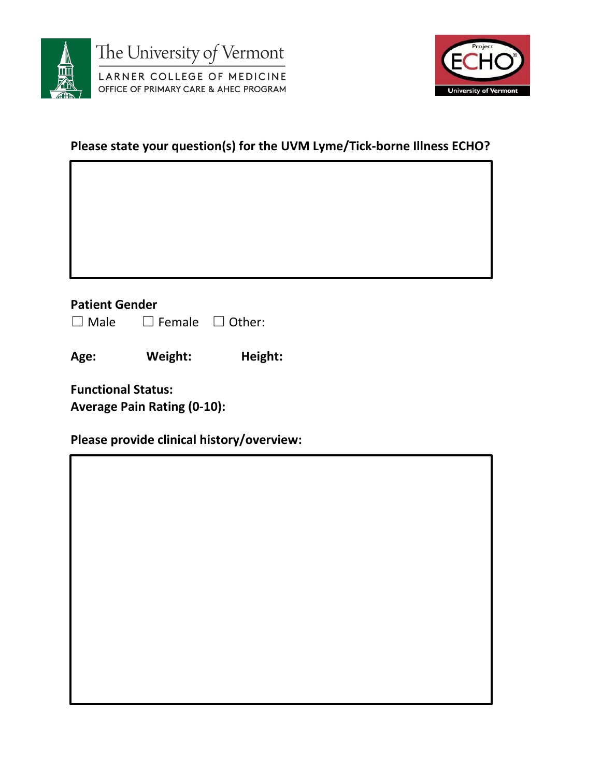



#### **Please state your question(s) for the UVM Lyme/Tick-borne Illness ECHO?**

#### **Patient Gender**

| $\Box$ Male | $\square$ Female | $\Box$ Other: |
|-------------|------------------|---------------|
|-------------|------------------|---------------|

**Age: Weight: Height:**

**Functional Status: Average Pain Rating (0-10):** 

**Please provide clinical history/overview:**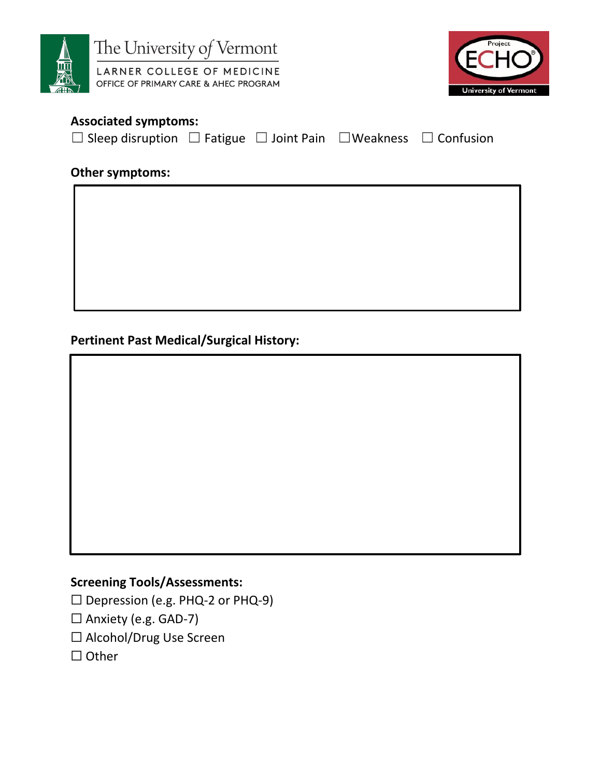



### **Associated symptoms:**

☐ Sleep disruption ☐ Fatigue ☐ Joint Pain ☐Weakness ☐ Confusion

#### **Other symptoms:**

**Pertinent Past Medical/Surgical History:**

### **Screening Tools/Assessments:**

☐ Depression (e.g. PHQ-2 or PHQ-9)

- □ Anxiety (e.g. GAD-7)
- ☐ Alcohol/Drug Use Screen
- □ Other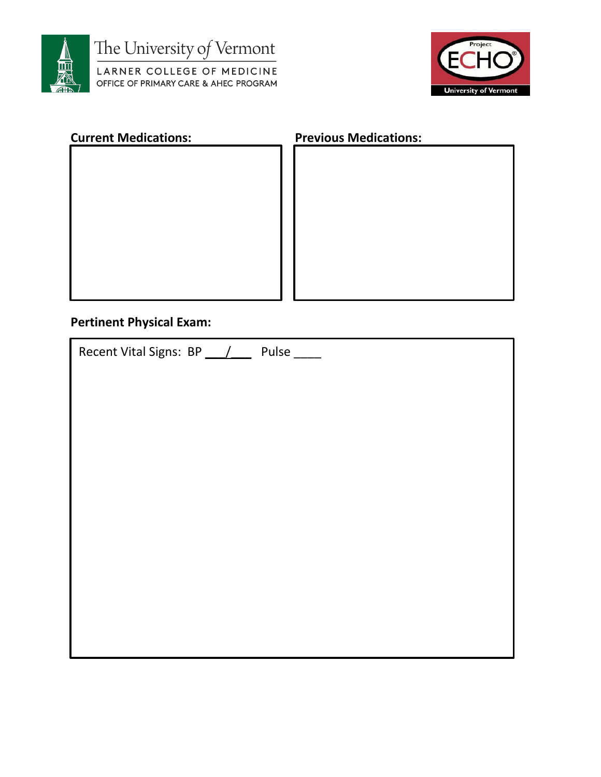

The University of Vermont

LARNER COLLEGE OF MEDICINE OFFICE OF PRIMARY CARE & AHEC PROGRAM



| <b>Current Medications:</b> | <b>Previous Medications:</b> |  |
|-----------------------------|------------------------------|--|
|                             |                              |  |
|                             |                              |  |
|                             |                              |  |
|                             |                              |  |
|                             |                              |  |
|                             |                              |  |
|                             |                              |  |
|                             |                              |  |
|                             |                              |  |
|                             |                              |  |

## **Pertinent Physical Exam:**

| Recent Vital Signs: BP / Pulse |
|--------------------------------|
|                                |
|                                |
|                                |
|                                |
|                                |
|                                |
|                                |
|                                |
|                                |
|                                |
|                                |